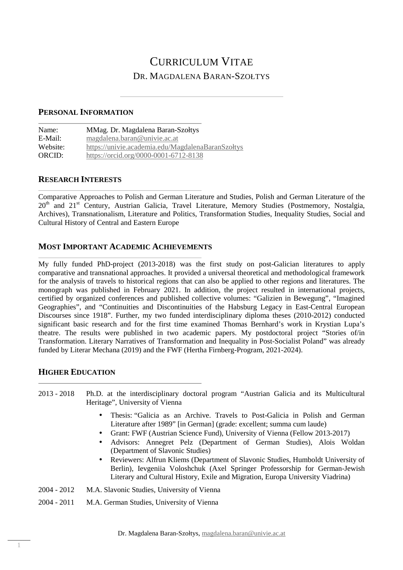# CURRICULUM VITAE DR. MAGDALENA BARAN-SZOŁTYS

#### **PERSONAL INFORMATION**

| Name:    | MMag. Dr. Magdalena Baran-Szołtys                 |  |
|----------|---------------------------------------------------|--|
| E-Mail:  | magdalena.baran@univie.ac.at                      |  |
| Website: | https://univie.academia.edu/MagdalenaBaranSzołtys |  |
| ORCID:   | https://orcid.org/0000-0001-6712-8138             |  |

#### **RESEARCH INTERESTS**

Comparative Approaches to Polish and German Literature and Studies, Polish and German Literature of the 20<sup>th</sup> and 21<sup>st</sup> Century, Austrian Galicia, Travel Literature, Memory Studies (Postmemory, Nostalgia, Archives), Transnationalism, Literature and Politics, Transformation Studies, Inequality Studies, Social and Cultural History of Central and Eastern Europe

#### **MOST IMPORTANT ACADEMIC ACHIEVEMENTS**

My fully funded PhD-project (2013-2018) was the first study on post-Galician literatures to apply comparative and transnational approaches. It provided a universal theoretical and methodological framework for the analysis of travels to historical regions that can also be applied to other regions and literatures. The monograph was published in February 2021. In addition, the project resulted in international projects, certified by organized conferences and published collective volumes: "Galizien in Bewegung", "Imagined Geographies", and "Continuities and Discontinuities of the Habsburg Legacy in East-Central European Discourses since 1918". Further, my two funded interdisciplinary diploma theses (2010-2012) conducted significant basic research and for the first time examined Thomas Bernhard's work in Krystian Lupa's theatre. The results were published in two academic papers. My postdoctoral project "Stories of/in Transformation. Literary Narratives of Transformation and Inequality in Post-Socialist Poland" was already funded by Literar Mechana (2019) and the FWF (Hertha Firnberg-Program, 2021-2024).

### **HIGHER EDUCATION**

- 2013 2018 Ph.D. at the interdisciplinary doctoral program "Austrian Galicia and its Multicultural Heritage", University of Vienna
	- Thesis: "Galicia as an Archive. Travels to Post-Galicia in Polish and German Literature after 1989" [in German] (grade: excellent; summa cum laude)
	- Grant: FWF (Austrian Science Fund), University of Vienna (Fellow 2013-2017)
	- Advisors: Annegret Pelz (Department of German Studies), Alois Woldan (Department of Slavonic Studies)
	- Reviewers: Alfrun Kliems (Department of Slavonic Studies, Humboldt University of Berlin), Ievgeniia Voloshchuk (Axel Springer Professorship for German-Jewish Literary and Cultural History, Exile and Migration, Europa University Viadrina)
- 2004 2012 M.A. Slavonic Studies, University of Vienna
- 2004 2011 M.A. German Studies, University of Vienna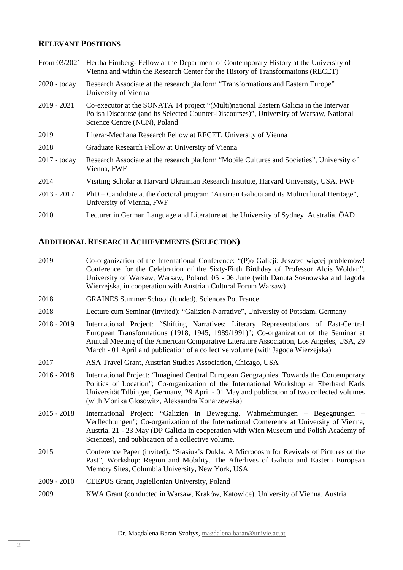## **RELEVANT POSITIONS**

|                | From 03/2021 Hertha Firnberg-Fellow at the Department of Contemporary History at the University of<br>Vienna and within the Research Center for the History of Transformations (RECET)                           |
|----------------|------------------------------------------------------------------------------------------------------------------------------------------------------------------------------------------------------------------|
| 2020 - today   | Research Associate at the research platform "Transformations and Eastern Europe"<br>University of Vienna                                                                                                         |
| $2019 - 2021$  | Co-executor at the SONATA 14 project "(Multi)national Eastern Galicia in the Interwar<br>Polish Discourse (and its Selected Counter-Discourses)", University of Warsaw, National<br>Science Centre (NCN), Poland |
| 2019           | Literar-Mechana Research Fellow at RECET, University of Vienna                                                                                                                                                   |
| 2018           | Graduate Research Fellow at University of Vienna                                                                                                                                                                 |
| $2017 -$ today | Research Associate at the research platform "Mobile Cultures and Societies", University of<br>Vienna, FWF                                                                                                        |
| 2014           | Visiting Scholar at Harvard Ukrainian Research Institute, Harvard University, USA, FWF                                                                                                                           |
| $2013 - 2017$  | PhD – Candidate at the doctoral program "Austrian Galicia and its Multicultural Heritage",<br>University of Vienna, FWF                                                                                          |
| 2010           | Lecturer in German Language and Literature at the University of Sydney, Australia, ÖAD                                                                                                                           |

## **ADDITIONAL RESEARCH ACHIEVEMENTS (SELECTION)**

| 2019          | Co-organization of the International Conference: "(P)o Galicji: Jeszcze więcej problemów!<br>Conference for the Celebration of the Sixty-Fifth Birthday of Professor Alois Woldan",<br>University of Warsaw, Warsaw, Poland, 05 - 06 June (with Danuta Sosnowska and Jagoda<br>Wierzejska, in cooperation with Austrian Cultural Forum Warsaw)               |  |
|---------------|--------------------------------------------------------------------------------------------------------------------------------------------------------------------------------------------------------------------------------------------------------------------------------------------------------------------------------------------------------------|--|
| 2018          | <b>GRAINES Summer School (funded), Sciences Po, France</b>                                                                                                                                                                                                                                                                                                   |  |
| 2018          | Lecture cum Seminar (invited): "Galizien-Narrative", University of Potsdam, Germany                                                                                                                                                                                                                                                                          |  |
| $2018 - 2019$ | International Project: "Shifting Narratives: Literary Representations of East-Central<br>European Transformations (1918, 1945, 1989/1991)"; Co-organization of the Seminar at<br>Annual Meeting of the American Comparative Literature Association, Los Angeles, USA, 29<br>March - 01 April and publication of a collective volume (with Jagoda Wierzejska) |  |
| 2017          | ASA Travel Grant, Austrian Studies Association, Chicago, USA                                                                                                                                                                                                                                                                                                 |  |
| $2016 - 2018$ | International Project: "Imagined Central European Geographies. Towards the Contemporary<br>Politics of Location"; Co-organization of the International Workshop at Eberhard Karls<br>Universität Tübingen, Germany, 29 April - 01 May and publication of two collected volumes<br>(with Monika Glosowitz, Aleksandra Konarzewska)                            |  |
| $2015 - 2018$ | International Project: "Galizien in Bewegung. Wahrnehmungen – Begegnungen –<br>Verflechtungen"; Co-organization of the International Conference at University of Vienna,<br>Austria, 21 - 23 May (DP Galicia in cooperation with Wien Museum und Polish Academy of<br>Sciences), and publication of a collective volume.                                     |  |
| 2015          | Conference Paper (invited): "Stasiuk's Dukla. A Microcosm for Revivals of Pictures of the<br>Past", Workshop: Region and Mobility. The Afterlives of Galicia and Eastern European<br>Memory Sites, Columbia University, New York, USA                                                                                                                        |  |
| $2009 - 2010$ | CEEPUS Grant, Jagiellonian University, Poland                                                                                                                                                                                                                                                                                                                |  |
| 2009          | KWA Grant (conducted in Warsaw, Kraków, Katowice), University of Vienna, Austria                                                                                                                                                                                                                                                                             |  |